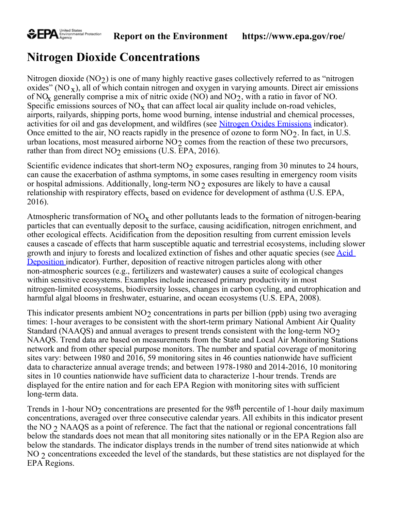

## **Nitrogen Dioxide Concentrations**

Nitrogen dioxide  $(NO<sub>2</sub>)$  is one of many highly reactive gases collectively referred to as "nitrogen" oxides" ( $NO_{x}$ ), all of which contain nitrogen and oxygen in varying amounts. Direct air emissions of NO<sub>x</sub> generally comprise a mix of nitric oxide (NO) and NO<sub>2</sub>, with a ratio in favor of NO. Specific emissions sources of  $NO<sub>x</sub>$  that can affect local air quality include on-road vehicles, airports, railyards, shipping ports, home wood burning, intense industrial and chemical processes, activities for oil and gas development, and wildfires (see [Nitrogen Oxides Emissions](https://cfpub.epa.gov/roe/indicator.cfm?i=15) indicator). Once emitted to the air, NO reacts rapidly in the presence of ozone to form  $NO<sub>2</sub>$ . In fact, in U.S. urban locations, most measured airborne  $NO<sub>2</sub>$  comes from the reaction of these two precursors, rather than from direct  $NO<sub>2</sub>$  emissions (U.S. EPA, 2016).

Scientific evidence indicates that short-term  $NO<sub>2</sub>$  exposures, ranging from 30 minutes to 24 hours, can cause the exacerbation of asthma symptoms, in some cases resulting in emergency room visits or hospital admissions. Additionally, long-term  $NO<sub>2</sub>$  exposures are likely to have a causal relationship with respiratory effects, based on evidence for development of asthma (U.S. EPA, 2016).

Atmospheric transformation of  $NO<sub>x</sub>$  and other pollutants leads to the formation of nitrogen-bearing particles that can eventually deposit to the surface, causing acidification, nitrogen enrichment, and other ecological effects. Acidification from the deposition resulting from current emission levels causes a cascade of effects that harm susceptible aquatic and terrestrial ecosystems, including slower growth and injury to forests and localized extinction of fishes and other aquatic species (see [Acid](https://cfpub.epa.gov/roe/indicator.cfm?i=1) [Deposition](https://cfpub.epa.gov/roe/indicator.cfm?i=1) indicator). Further, deposition of reactive nitrogen particles along with other non-atmospheric sources (e.g., fertilizers and wastewater) causes a suite of ecological changes within sensitive ecosystems. Examples include increased primary productivity in most nitrogen-limited ecosystems, biodiversity losses, changes in carbon cycling, and eutrophication and harmful algal blooms in freshwater, estuarine, and ocean ecosystems (U.S. EPA, 2008).

This indicator presents ambient  $NO<sub>2</sub>$  concentrations in parts per billion (ppb) using two averaging times: 1-hour averages to be consistent with the short-term primary National Ambient Air Quality Standard (NAAQS) and annual averages to present trends consistent with the long-term  $NO<sub>2</sub>$ NAAQS. Trend data are based on measurements from the State and Local Air Monitoring Stations network and from other special purpose monitors. The number and spatial coverage of monitoring sites vary: between 1980 and 2016, 59 monitoring sites in 46 counties nationwide have sufficient data to characterize annual average trends; and between 1978-1980 and 2014-2016, 10 monitoring sites in 10 counties nationwide have sufficient data to characterize 1-hour trends. Trends are displayed for the entire nation and for each EPA Region with monitoring sites with sufficient long-term data.

Trends in 1-hour NO<sub>2</sub> concentrations are presented for the 98<sup>th</sup> percentile of 1-hour daily maximum concentrations, averaged over three consecutive calendar years. All exhibits in this indicator present the NO 2 NAAQS as a point of reference. The fact that the national or regional concentrations fall below the standards does not mean that all monitoring sites nationally or in the EPA Region also are below the standards. The indicator displays trends in the number of trend sites nationwide at which NO 2 concentrations exceeded the level of the standards, but these statistics are not displayed for the EPA Regions.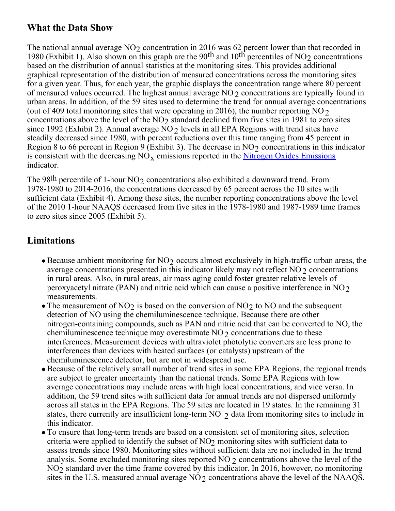#### **What the Data Show**

The national annual average  $NO<sub>2</sub>$  concentration in 2016 was 62 percent lower than that recorded in 1980 (Exhibit 1). Also shown on this graph are the 90<sup>th</sup> and 10<sup>th</sup> percentiles of NO<sub>2</sub> concentrations based on the distribution of annual statistics at the monitoring sites. This provides additional graphical representation of the distribution of measured concentrations across the monitoring sites for a given year. Thus, for each year, the graphic displays the concentration range where 80 percent of measured values occurred. The highest annual average  $NO<sub>2</sub>$  concentrations are typically found in urban areas. In addition, of the 59 sites used to determine the trend for annual average concentrations (out of 409 total monitoring sites that were operating in 2016), the number reporting NO  $\gamma$ concentrations above the level of the  $NO<sub>2</sub>$  standard declined from five sites in 1981 to zero sites since 1992 (Exhibit 2). Annual average  $NO<sub>2</sub>$  levels in all EPA Regions with trend sites have steadily decreased since 1980, with percent reductions over this time ranging from 45 percent in Region 8 to 66 percent in Region 9 (Exhibit 3). The decrease in NO<sub>2</sub> concentrations in this indicator is consistent with the decreasing  $NO_x$  emissions reported in the [Nitrogen Oxides Emissions](https://cfpub.epa.gov/roe/indicator.cfm?i=15) indicator.

The 98<sup>th</sup> percentile of 1-hour NO<sub>2</sub> concentrations also exhibited a downward trend. From 1978-1980 to 2014-2016, the concentrations decreased by 65 percent across the 10 sites with sufficient data (Exhibit 4). Among these sites, the number reporting concentrations above the level of the 2010 1-hour NAAQS decreased from five sites in the 1978-1980 and 1987-1989 time frames to zero sites since 2005 (Exhibit 5).

### **Limitations**

- $\bullet$  Because ambient monitoring for NO<sub>2</sub> occurs almost exclusively in high-traffic urban areas, the average concentrations presented in this indicator likely may not reflect  $NO<sub>2</sub>$  concentrations in rural areas. Also, in rural areas, air mass aging could foster greater relative levels of peroxyacetyl nitrate (PAN) and nitric acid which can cause a positive interference in NO $\sigma$ measurements.
- The measurement of NO<sub>2</sub> is based on the conversion of NO<sub>2</sub> to NO and the subsequent detection of NO using the chemiluminescence technique. Because there are other nitrogen-containing compounds, such as PAN and nitric acid that can be converted to NO, the chemiluminescence technique may overestimate  $NO<sub>2</sub>$  concentrations due to these interferences. Measurement devices with ultraviolet photolytic converters are less prone to interferences than devices with heated surfaces (or catalysts) upstream of the chemiluminescence detector, but are not in widespread use.
- Because of the relatively small number of trend sites in some EPA Regions, the regional trends are subject to greater uncertainty than the national trends. Some EPA Regions with low average concentrations may include areas with high local concentrations, and vice versa. In addition, the 59 trend sites with sufficient data for annual trends are not dispersed uniformly across all states in the EPA Regions. The 59 sites are located in 19 states. In the remaining 31 states, there currently are insufficient long-term NO  $\gamma$  data from monitoring sites to include in this indicator.
- To ensure that long-term trends are based on a consistent set of monitoring sites, selection criteria were applied to identify the subset of  $NO<sub>2</sub>$  monitoring sites with sufficient data to assess trends since 1980. Monitoring sites without sufficient data are not included in the trend analysis. Some excluded monitoring sites reported NO  $\gamma$  concentrations above the level of the  $NO<sub>2</sub>$  standard over the time frame covered by this indicator. In 2016, however, no monitoring sites in the U.S. measured annual average  $NO<sub>2</sub>$  concentrations above the level of the NAAQS.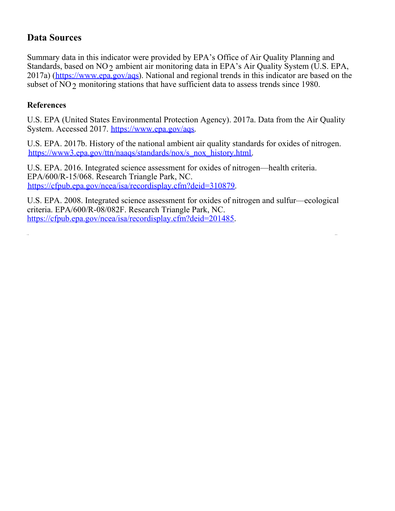#### **Data Sources**

Summary data in this indicator were provided by EPA's Office of Air Quality Planning and Standards, based on  $NO<sub>2</sub>$  ambient air monitoring data in EPA's Air Quality System (U.S. EPA, 2017a) (<https://www.epa.gov/aqs>). National and regional trends in this indicator are based on the subset of  $NO<sub>2</sub>$  monitoring stations that have sufficient data to assess trends since 1980.

#### **References**

Ţ,

U.S. EPA (United States Environmental Protection Agency). 2017a. Data from the Air Quality System. Accessed 2017. <https://www.epa.gov/aqs>.

U.S. EPA. 2017b. History of the national ambient air quality standards for oxides of nitrogen. [https://www3.epa.gov/ttn/naaqs/standards/nox/s\\_nox\\_history.html](https://www3.epa.gov/ttn/naaqs/standards/nox/s_nox_history.html).

U.S. EPA. 2016. Integrated science assessment for oxides of nitrogen—health criteria. EPA/600/R-15/068. Research Triangle Park, NC. <https://cfpub.epa.gov/ncea/isa/recordisplay.cfm?deid=310879>.

U.S. EPA. 2008. Integrated science assessment for oxides of nitrogen and sulfur—ecological criteria. EPA/600/R-08/082F. Research Triangle Park, NC. <https://cfpub.epa.gov/ncea/isa/recordisplay.cfm?deid=201485>.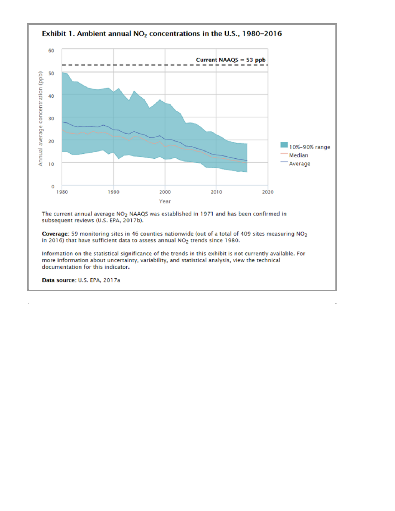

Information on the statistical significance of the trends in this exhibit is not currently available. For more information about uncertainty, variability, and statistical analysis, view the technical documentation for this indicator.

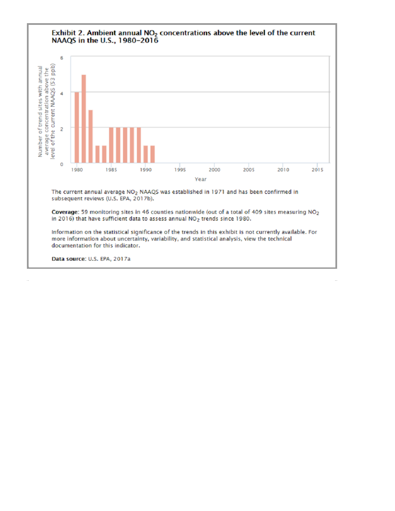# Exhibit 2. Ambient annual  $NO<sub>2</sub>$  concentrations above the level of the current NAAQS in the U.S., 1980-2016



The current annual average NO<sub>2</sub> NAAQS was established in 1971 and has been confirmed in subsequent reviews (U.S. EPA, 2017b).

Coverage: 59 monitoring sites in 46 counties nationwide (out of a total of 409 sites measuring NO<sub>2</sub> in 2016) that have sufficient data to assess annual NO<sub>2</sub> trends since 1980.

Information on the statistical significance of the trends in this exhibit is not currently available. For more information about uncertainty, variability, and statistical analysis, view the technical documentation for this indicator.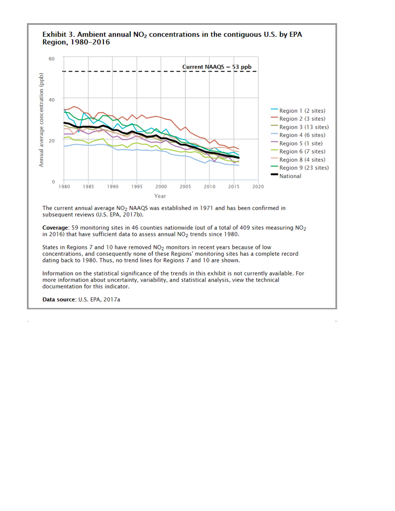

Exhibit 3. Ambient annual NO<sub>2</sub> concentrations in the contiguous U.S. by EPA

The current annual average NO<sub>2</sub> NAAQS was established in 1971 and has been confirmed in subsequent reviews (U.S. EPA, 2017b).

Coverage: 59 monitoring sites in 46 counties nationwide (out of a total of 409 sites measuring NO<sub>2</sub> in 2016) that have sufficient data to assess annual NO2 trends since 1980.

States in Regions 7 and 10 have removed NO<sub>2</sub> monitors in recent years because of low concentrations, and consequently none of these Regions' monitoring sites has a complete record dating back to 1980. Thus, no trend lines for Regions 7 and 10 are shown.

Information on the statistical significance of the trends in this exhibit is not currently available. For more information about uncertainty, variability, and statistical analysis, view the technical documentation for this indicator.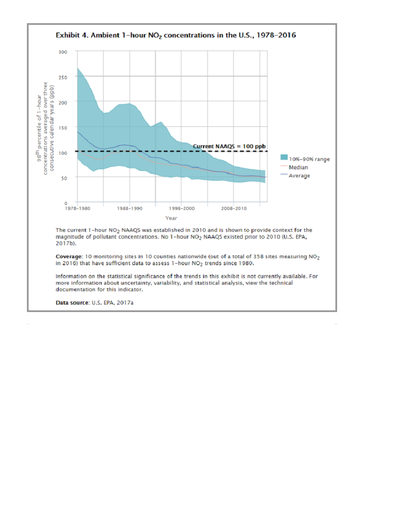